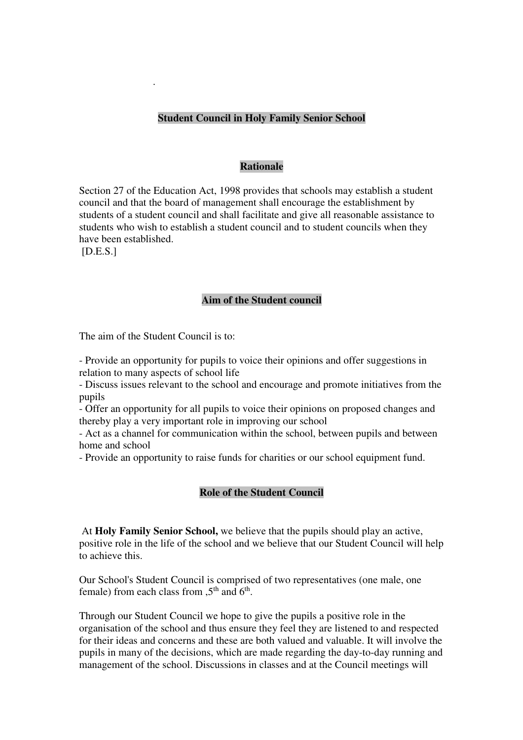# **Student Council in Holy Family Senior School**

#### **Rationale**

Section 27 of the Education Act, 1998 provides that schools may establish a student council and that the board of management shall encourage the establishment by students of a student council and shall facilitate and give all reasonable assistance to students who wish to establish a student council and to student councils when they have been established.

[D.E.S.]

.

### **Aim of the Student council**

The aim of the Student Council is to:

- Provide an opportunity for pupils to voice their opinions and offer suggestions in relation to many aspects of school life

- Discuss issues relevant to the school and encourage and promote initiatives from the pupils

- Offer an opportunity for all pupils to voice their opinions on proposed changes and thereby play a very important role in improving our school

- Act as a channel for communication within the school, between pupils and between home and school

- Provide an opportunity to raise funds for charities or our school equipment fund.

### **Role of the Student Council**

 At **Holy Family Senior School,** we believe that the pupils should play an active, positive role in the life of the school and we believe that our Student Council will help to achieve this.

Our School's Student Council is comprised of two representatives (one male, one female) from each class from  $5<sup>th</sup>$  and  $6<sup>th</sup>$ .

Through our Student Council we hope to give the pupils a positive role in the organisation of the school and thus ensure they feel they are listened to and respected for their ideas and concerns and these are both valued and valuable. It will involve the pupils in many of the decisions, which are made regarding the day-to-day running and management of the school. Discussions in classes and at the Council meetings will